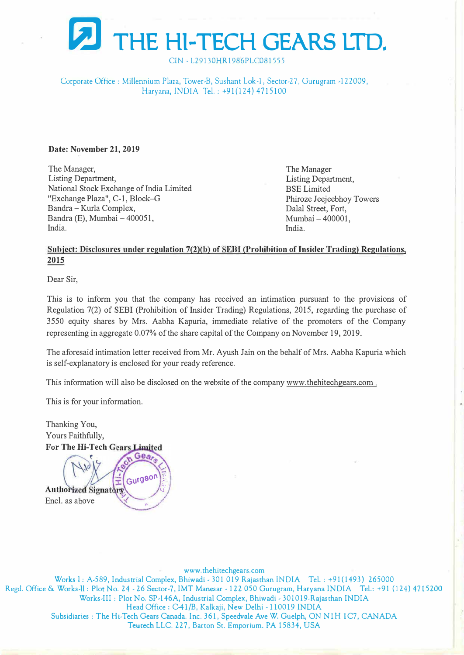

CIN - L29130HR1986PLC081555

Corporate Office: Millennium Plaza, Tower-B, Sushant Lok-1, Sector-27, Gurugram -122009, Haryana, INDIA Tel.: +91(124) 4715100

#### **Date: November 21, 2019**

The Manager, Listing Department, National Stock Exchange of India Limited "Exchange Plaza", C-1, Block-G Bandra -Kurla Complex, Bandra (E), Mumbai - 400051, India.

The Manager Listing Department, BSE Limited Phiroze Jeejeebhoy Towers Dalal Street, Fort, Mumbai - 400001. India.

## **Subject: Disclosures under regulntion 7(2)(b) of EBI (Prohibition of Insider Trading) Regulations, 2015**

Dear Sir,

This is to inform you that the company has received an intimation pursuant to the provisions of Regulation 7(2) of SEBI (Prohibition of Insider Trading) Regulations, 2015, regarding the purchase of 3550 equity shares by Mrs. Aabha Kapuria, immediate relative of the promoters of the Company representing in aggregate 0.07% of the share capital of the Company on November 19, 2019.

The aforesaid intimation letter received from Mr. Ayush Jain on the behalf of Mrs. Aabha Kapuria which is self-explanatory is enclosed for your ready reference.

This information will also be disclosed on the website of the company www.thehitechgears.com.

This is for your information.

Thanking You, Yours Faithfully, **For The Hi-Tech Gears Limited** 

Gea Gurgaon **Authorized Signators** Encl. as above

www.thehitechgears.com

**Works** I: A-589, Industrial Complex, Bhiwadi - 301 019 Rajasthan INDIA Tel.: +91(1493) 265000 Regd. Office & Works-11 : Plot No. 24 - 26 Secror-7, IMT Manesar - 122 050 Gurugram, Haryana INDIA Tel.: +91 (124) 4 715200 Works-III: Plot No. SP-146A, Industrial Complex, Bhiwadi - 301019-Rajasthan INDIA Head Office: C41/B, Kalkaji, New Delhi - 110019 INDIA Subsidiaries: T he Hi-Tech Gears Canada. Inc. 361, Speedvale Ave W. Guelph, ON NIH 1C7, CANADA **Teutech** LLC. 227, Barton St. Emporium. PA 15834, USA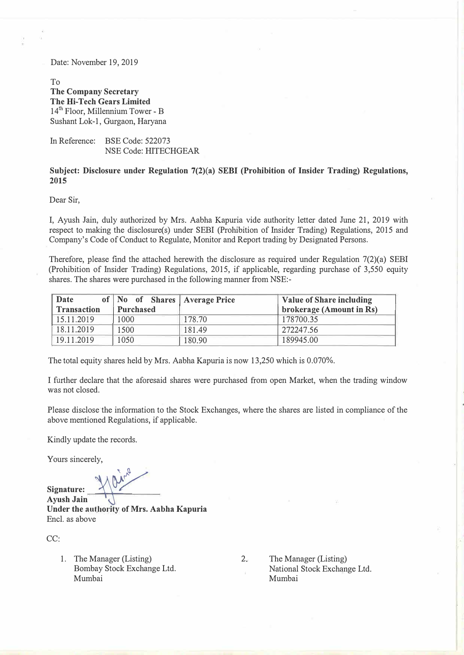Date: November 19, 2019

To **The Company Secretary The Hi-Tech Gears Limited**  14<sup>th</sup> Floor, Millennium Tower - B Sushant Lok-1, Gurgaon, Haryana

In Reference: BSE Code: 522073 NSE Code: HITECHGEAR

#### **Subject: Disclosure under Regulation 7(2)(a) SEBI (Prohibition of Insider Trading) Regulations, 2015**

Dear Sir,

I, Ayush Jain, duly authorized by Mrs. Aabha Kapuria vide authority letter dated June 21, 2019 with respect to making the disclosure(s) under SEBI (Prohibition of Insider Trading) Regulations, 2015 and Company's Code of Conduct to Regulate, Monitor and Report trading by Designated Persons.

Therefore, please find the attached herewith the disclosure as required under Regulation 7(2)(a) SEBI (Prohibition of Insider Trading) Regulations, 2015, if applicable, regarding purchase of 3,550 equity shares. The shares were purchased in the following manner from NSE:-

| Date                                                 | Value of Share including<br>of   No of Shares   Average Price |        |           |  |  |  |
|------------------------------------------------------|---------------------------------------------------------------|--------|-----------|--|--|--|
| brokerage (Amount in Rs)<br>Transaction<br>Purchased |                                                               |        |           |  |  |  |
| 15.11.2019                                           | 1000                                                          | 178.70 | 178700.35 |  |  |  |
| 18.11.2019                                           | 1500                                                          | 181.49 | 272247.56 |  |  |  |
| 19.11.2019                                           | 1050                                                          | 180.90 | 189945.00 |  |  |  |

The total equity shares held by Mrs. Aabha Kapuria is now 13,250 which is 0.070%.

I further declare that the aforesaid shares were purchased from open Market, when the trading window was not closed.

Please disclose the information to the Stock Exchanges, where the shares are listed in compliance of the above mentioned Regulations, if applicable.

Kindly update the records.

Yours sincerely,

 $\lambda^{\prime\prime}$ 

Signature:<br>Ayush Jain **Under the authority of Mrs. Aabha Kapuria**  Encl. as above

CC:

1. The Manager (Listing) Bombay Stock Exchange Ltd. Mumbai

2. The Manager (Listing) National Stock Exchange Ltd. Mumbai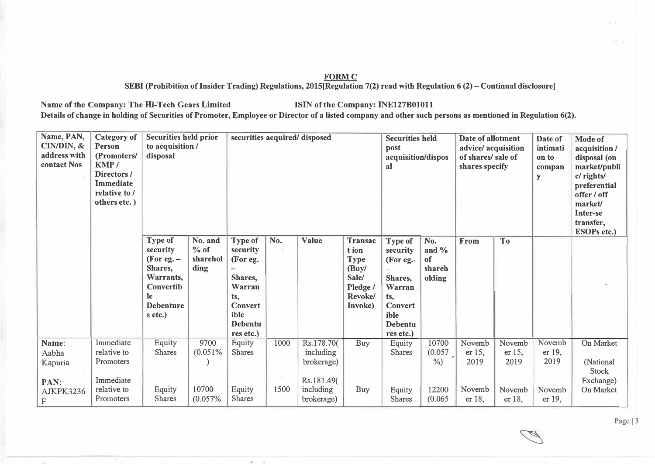## **FORMC**

**SEBI (Prohibition of Insider Trading) Regulations, 2015[Regulation 7(2) read with Regulation 6 (2)-Continual disclosure]** 

Name of the Company: The Hi-Tech Gears Limited **ISIN** of the Company: INE127B01011 Details of change in holding of Securities of Promoter, Employee or Director of a listed company and other such persons as mentioned in Regulation 6(2).

| Name, PAN,<br>CIN/DIN, &<br>address with<br>contact Nos     | <b>Category of</b><br>Person<br>(Promoters/<br>KMP/<br>Directors/<br><b>Immediate</b><br>relative to /<br>others etc.) | <b>Securities held prior</b><br>to acquisition /<br>disposal                                                  |                                       | securities acquired/ disposed                                                                                             |              |                                                                                |                                                                                            | <b>Securities held</b><br>post<br>acquisition/dispos<br>al                                                                  |                                           | Date of allotment<br>advice/ acquisition<br>of shares/ sale of<br>shares specify |                                              | Date of<br>intimati<br>on to<br>compan<br>y  | Mode of<br>acquisition /<br>disposal (on<br>market/publi<br>c/ rights/<br>preferential<br>offer / off<br>market/<br><b>Inter-se</b><br>transfer,<br><b>ESOPs etc.)</b> |
|-------------------------------------------------------------|------------------------------------------------------------------------------------------------------------------------|---------------------------------------------------------------------------------------------------------------|---------------------------------------|---------------------------------------------------------------------------------------------------------------------------|--------------|--------------------------------------------------------------------------------|--------------------------------------------------------------------------------------------|-----------------------------------------------------------------------------------------------------------------------------|-------------------------------------------|----------------------------------------------------------------------------------|----------------------------------------------|----------------------------------------------|------------------------------------------------------------------------------------------------------------------------------------------------------------------------|
|                                                             |                                                                                                                        | Type of<br>security<br>(For eg. $-$<br>Shares,<br>Warrants,<br>Convertib<br>le<br><b>Debenture</b><br>s etc.) | No. and<br>$%$ of<br>sharehol<br>ding | Type of<br>security<br>(For eg.<br>—<br>Shares,<br>Warran<br>ts,<br><b>Convert</b><br>ible<br><b>Debentu</b><br>res etc.) | No.          | Value                                                                          | <b>Transac</b><br>t ion<br><b>Type</b><br>(Buy/<br>Sale/<br>Pledge /<br>Revoke/<br>Invoke) | <b>Type of</b><br>security<br>(For eg.<br>Shares,<br>Warran<br>ts,<br><b>Convert</b><br>ible<br><b>Debentu</b><br>res etc.) | No.<br>and $%$<br>of<br>shareh<br>olding  | From                                                                             | <b>To</b>                                    |                                              |                                                                                                                                                                        |
| Name:<br>Aabha<br>Kapuria<br>PAN:<br>AJKPK3236<br>${\bf F}$ | Immediate<br>relative to<br>Promoters<br>Immediate<br>relative to<br>Promoters                                         | Equity<br><b>Shares</b><br>Equity<br><b>Shares</b>                                                            | 9700<br>(0.051%<br>10700<br>(0.057%   | Equity<br><b>Shares</b><br>Equity<br><b>Shares</b>                                                                        | 1000<br>1500 | Rs.178.70(<br>including<br>brokerage)<br>Rs.181.49(<br>including<br>brokerage) | Buy<br>Buy                                                                                 | Equity<br><b>Shares</b><br>Equity<br><b>Shares</b>                                                                          | 10700<br>(0.057)<br>%<br>12200<br>(0.065) | Novemb<br>er 15,<br>2019<br>Novemb<br>er 18,                                     | Novemb<br>er 15,<br>2019<br>Novemb<br>er 18, | Novemb<br>er 19,<br>2019<br>Novemb<br>er 19, | On Market<br>(National<br><b>Stock</b><br>Exchange)<br>On Market                                                                                                       |